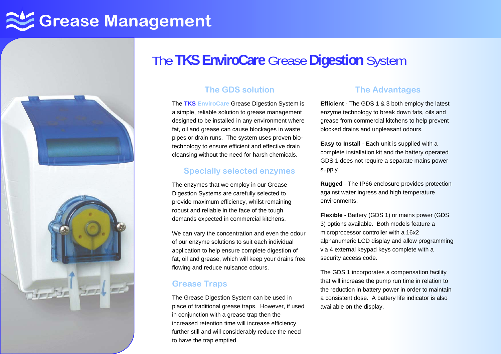# **Grease Management**



### The **TKS EnviroCare** Grease **Digestion** System

#### **The GDS solution**

The **TKS EnviroCare** Grease Digestion System is a simple, reliable solution to grease management designed to be installed in any environment where fat, oil and grease can cause blockages in waste pipes or drain runs. The system uses proven biotechnology to ensure efficient and effective drain cleansing without the need for harsh chemicals.

#### **Specially selected enzymes**

The enzymes that we employ in our Grease Digestion Systems are carefully selected to provide maximum efficiency, whilst remaining robust and reliable in the face of the tough demands expected in commercial kitchens.

We can vary the concentration and even the odour of our enzyme solutions to suit each individual application to help ensure complete digestion of fat, oil and grease, which will keep your drains free flowing and reduce nuisance odours.

#### **Grease Traps**

The Grease Digestion System can be used in place of traditional grease traps. However, if used in conjunction with a grease trap then the increased retention time will increase efficiency further still and will considerably reduce the need to have the trap emptied.

#### **The Advantages**

**Efficient** - The GDS 1 & 3 both employ the latest enzyme technology to break down fats, oils and grease from commercial kitchens to help prevent blocked drains and unpleasant odours.

**Easy to Install** - Each unit is supplied with a complete installation kit and the battery operated GDS 1 does not require a separate mains power supply.

**Rugged** - The IP66 enclosure provides protection against water ingress and high temperature environments.

**Flexible** - Battery (GDS 1) or mains power (GDS 3) options available. Both models feature a microprocessor controller with a 16x2 alphanumeric LCD display and allow programming via 4 external keypad keys complete with a security access code.

The GDS 1 incorporates a compensation facility that will increase the pump run time in relation to the reduction in battery power in order to maintain a consistent dose. A battery life indicator is also available on the display.